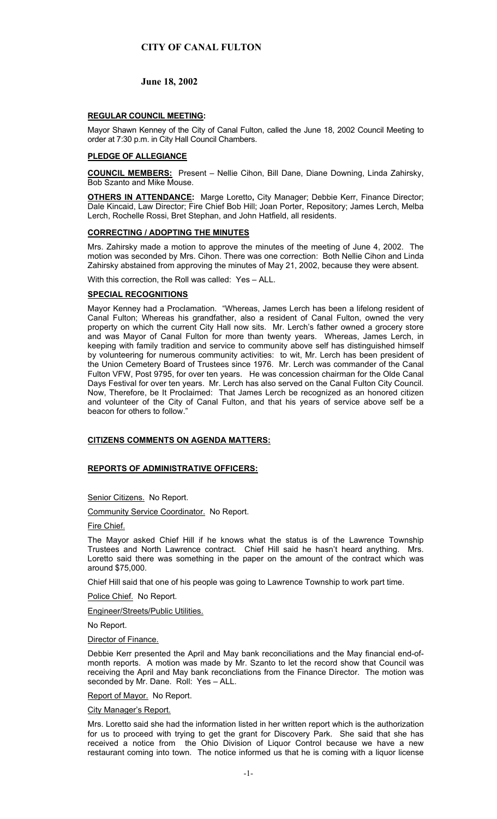# **June 18, 2002**

# **REGULAR COUNCIL MEETING:**

Mayor Shawn Kenney of the City of Canal Fulton, called the June 18, 2002 Council Meeting to order at 7:30 p.m. in City Hall Council Chambers.

# **PLEDGE OF ALLEGIANCE**

**COUNCIL MEMBERS:** Present – Nellie Cihon, Bill Dane, Diane Downing, Linda Zahirsky, Bob Szanto and Mike Mouse.

**OTHERS IN ATTENDANCE:** Marge Loretto, City Manager; Debbie Kerr, Finance Director; Dale Kincaid, Law Director; Fire Chief Bob Hill; Joan Porter, Repository; James Lerch, Melba Lerch, Rochelle Rossi, Bret Stephan, and John Hatfield, all residents.

### **CORRECTING / ADOPTING THE MINUTES**

Mrs. Zahirsky made a motion to approve the minutes of the meeting of June 4, 2002. The motion was seconded by Mrs. Cihon. There was one correction: Both Nellie Cihon and Linda Zahirsky abstained from approving the minutes of May 21, 2002, because they were absent.

With this correction, the Roll was called: Yes – ALL.

### **SPECIAL RECOGNITIONS**

Mayor Kenney had a Proclamation. "Whereas, James Lerch has been a lifelong resident of Canal Fulton; Whereas his grandfather, also a resident of Canal Fulton, owned the very property on which the current City Hall now sits. Mr. Lerch's father owned a grocery store and was Mayor of Canal Fulton for more than twenty years. Whereas, James Lerch, in keeping with family tradition and service to community above self has distinguished himself by volunteering for numerous community activities: to wit, Mr. Lerch has been president of the Union Cemetery Board of Trustees since 1976. Mr. Lerch was commander of the Canal Fulton VFW, Post 9795, for over ten years. He was concession chairman for the Olde Canal Days Festival for over ten years. Mr. Lerch has also served on the Canal Fulton City Council. Now, Therefore, be It Proclaimed: That James Lerch be recognized as an honored citizen and volunteer of the City of Canal Fulton, and that his years of service above self be a beacon for others to follow."

# **CITIZENS COMMENTS ON AGENDA MATTERS:**

#### **REPORTS OF ADMINISTRATIVE OFFICERS:**

Senior Citizens. No Report.

Community Service Coordinator. No Report.

Fire Chief.

The Mayor asked Chief Hill if he knows what the status is of the Lawrence Township Trustees and North Lawrence contract. Chief Hill said he hasn't heard anything. Mrs. Loretto said there was something in the paper on the amount of the contract which was around \$75,000.

Chief Hill said that one of his people was going to Lawrence Township to work part time.

Police Chief. No Report.

Engineer/Streets/Public Utilities.

No Report.

Director of Finance.

Debbie Kerr presented the April and May bank reconciliations and the May financial end-ofmonth reports. A motion was made by Mr. Szanto to let the record show that Council was receiving the April and May bank reconcliations from the Finance Director. The motion was seconded by Mr. Dane. Roll: Yes – ALL.

Report of Mayor. No Report.

#### City Manager's Report.

Mrs. Loretto said she had the information listed in her written report which is the authorization for us to proceed with trying to get the grant for Discovery Park. She said that she has received a notice from the Ohio Division of Liquor Control because we have a new restaurant coming into town. The notice informed us that he is coming with a liquor license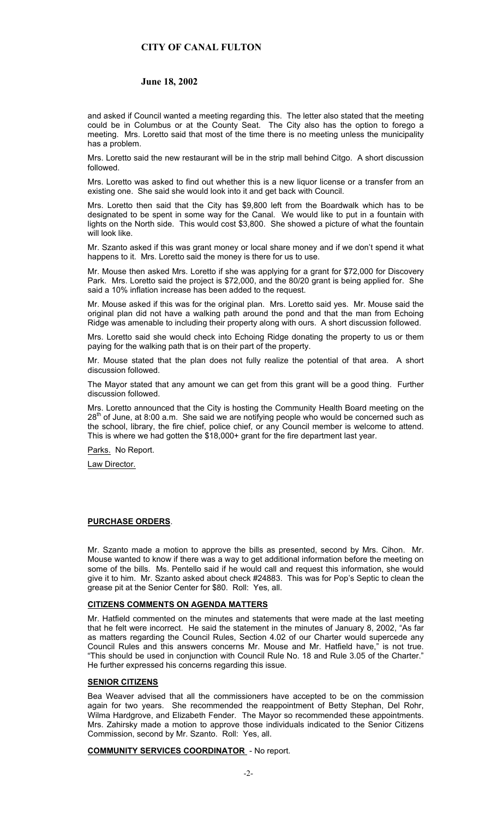### **June 18, 2002**

and asked if Council wanted a meeting regarding this. The letter also stated that the meeting could be in Columbus or at the County Seat. The City also has the option to forego a meeting. Mrs. Loretto said that most of the time there is no meeting unless the municipality has a problem.

Mrs. Loretto said the new restaurant will be in the strip mall behind Citgo. A short discussion followed.

Mrs. Loretto was asked to find out whether this is a new liquor license or a transfer from an existing one. She said she would look into it and get back with Council.

Mrs. Loretto then said that the City has \$9,800 left from the Boardwalk which has to be designated to be spent in some way for the Canal. We would like to put in a fountain with lights on the North side. This would cost \$3,800. She showed a picture of what the fountain will look like.

Mr. Szanto asked if this was grant money or local share money and if we don't spend it what happens to it. Mrs. Loretto said the money is there for us to use.

Mr. Mouse then asked Mrs. Loretto if she was applying for a grant for \$72,000 for Discovery Park. Mrs. Loretto said the project is \$72,000, and the 80/20 grant is being applied for. She said a 10% inflation increase has been added to the request.

Mr. Mouse asked if this was for the original plan. Mrs. Loretto said yes. Mr. Mouse said the original plan did not have a walking path around the pond and that the man from Echoing Ridge was amenable to including their property along with ours. A short discussion followed.

Mrs. Loretto said she would check into Echoing Ridge donating the property to us or them paying for the walking path that is on their part of the property.

Mr. Mouse stated that the plan does not fully realize the potential of that area. A short discussion followed.

The Mayor stated that any amount we can get from this grant will be a good thing. Further discussion followed.

Mrs. Loretto announced that the City is hosting the Community Health Board meeting on the  $28<sup>th</sup>$  of June, at 8:00 a.m. She said we are notifying people who would be concerned such as the school, library, the fire chief, police chief, or any Council member is welcome to attend. This is where we had gotten the \$18,000+ grant for the fire department last year.

Parks. No Report.

Law Director.

# **PURCHASE ORDERS**.

Mr. Szanto made a motion to approve the bills as presented, second by Mrs. Cihon. Mr. Mouse wanted to know if there was a way to get additional information before the meeting on some of the bills. Ms. Pentello said if he would call and request this information, she would give it to him. Mr. Szanto asked about check #24883. This was for Pop's Septic to clean the grease pit at the Senior Center for \$80. Roll: Yes, all.

### **CITIZENS COMMENTS ON AGENDA MATTERS**

Mr. Hatfield commented on the minutes and statements that were made at the last meeting that he felt were incorrect. He said the statement in the minutes of January 8, 2002, "As far as matters regarding the Council Rules, Section 4.02 of our Charter would supercede any Council Rules and this answers concerns Mr. Mouse and Mr. Hatfield have," is not true. "This should be used in conjunction with Council Rule No. 18 and Rule 3.05 of the Charter." He further expressed his concerns regarding this issue.

### **SENIOR CITIZENS**

Bea Weaver advised that all the commissioners have accepted to be on the commission again for two years. She recommended the reappointment of Betty Stephan, Del Rohr, Wilma Hardgrove, and Elizabeth Fender. The Mayor so recommended these appointments. Mrs. Zahirsky made a motion to approve those individuals indicated to the Senior Citizens Commission, second by Mr. Szanto. Roll: Yes, all.

### **COMMUNITY SERVICES COORDINATOR** - No report.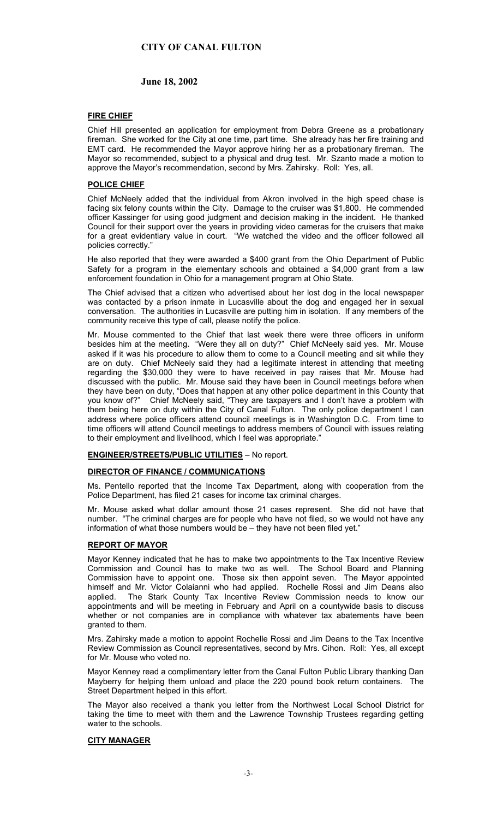# **June 18, 2002**

# **FIRE CHIEF**

Chief Hill presented an application for employment from Debra Greene as a probationary fireman. She worked for the City at one time, part time. She already has her fire training and EMT card. He recommended the Mayor approve hiring her as a probationary fireman. The Mayor so recommended, subject to a physical and drug test. Mr. Szanto made a motion to approve the Mayor's recommendation, second by Mrs. Zahirsky. Roll: Yes, all.

### **POLICE CHIEF**

Chief McNeely added that the individual from Akron involved in the high speed chase is facing six felony counts within the City. Damage to the cruiser was \$1,800. He commended officer Kassinger for using good judgment and decision making in the incident. He thanked Council for their support over the years in providing video cameras for the cruisers that make for a great evidentiary value in court. "We watched the video and the officer followed all policies correctly."

He also reported that they were awarded a \$400 grant from the Ohio Department of Public Safety for a program in the elementary schools and obtained a \$4,000 grant from a law enforcement foundation in Ohio for a management program at Ohio State.

The Chief advised that a citizen who advertised about her lost dog in the local newspaper was contacted by a prison inmate in Lucasville about the dog and engaged her in sexual conversation. The authorities in Lucasville are putting him in isolation. If any members of the community receive this type of call, please notify the police.

Mr. Mouse commented to the Chief that last week there were three officers in uniform besides him at the meeting. "Were they all on duty?" Chief McNeely said yes. Mr. Mouse asked if it was his procedure to allow them to come to a Council meeting and sit while they are on duty. Chief McNeely said they had a legitimate interest in attending that meeting regarding the \$30,000 they were to have received in pay raises that Mr. Mouse had discussed with the public. Mr. Mouse said they have been in Council meetings before when they have been on duty, "Does that happen at any other police department in this County that you know of?" Chief McNeely said, "They are taxpayers and I don't have a problem with them being here on duty within the City of Canal Fulton. The only police department I can address where police officers attend council meetings is in Washington D.C. From time to time officers will attend Council meetings to address members of Council with issues relating to their employment and livelihood, which I feel was appropriate."

#### **ENGINEER/STREETS/PUBLIC UTILITIES** – No report.

#### **DIRECTOR OF FINANCE / COMMUNICATIONS**

Ms. Pentello reported that the Income Tax Department, along with cooperation from the Police Department, has filed 21 cases for income tax criminal charges.

Mr. Mouse asked what dollar amount those 21 cases represent. She did not have that number. "The criminal charges are for people who have not filed, so we would not have any information of what those numbers would be – they have not been filed yet."

#### **REPORT OF MAYOR**

Mayor Kenney indicated that he has to make two appointments to the Tax Incentive Review Commission and Council has to make two as well. The School Board and Planning Commission have to appoint one. Those six then appoint seven. The Mayor appointed himself and Mr. Victor Colaianni who had applied. Rochelle Rossi and Jim Deans also applied. The Stark County Tax Incentive Review Commission needs to know our The Stark County Tax Incentive Review Commission needs to know our appointments and will be meeting in February and April on a countywide basis to discuss whether or not companies are in compliance with whatever tax abatements have been granted to them.

Mrs. Zahirsky made a motion to appoint Rochelle Rossi and Jim Deans to the Tax Incentive Review Commission as Council representatives, second by Mrs. Cihon. Roll: Yes, all except for Mr. Mouse who voted no.

Mayor Kenney read a complimentary letter from the Canal Fulton Public Library thanking Dan Mayberry for helping them unload and place the 220 pound book return containers. The Street Department helped in this effort.

The Mayor also received a thank you letter from the Northwest Local School District for taking the time to meet with them and the Lawrence Township Trustees regarding getting water to the schools.

### **CITY MANAGER**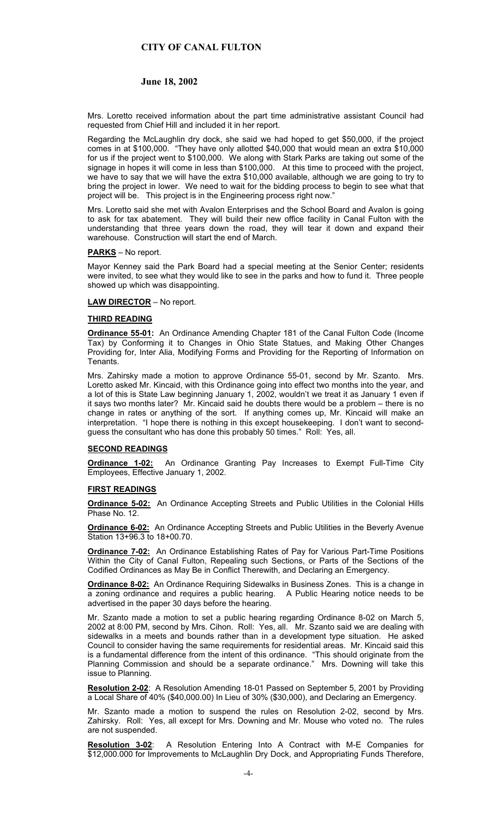# **June 18, 2002**

Mrs. Loretto received information about the part time administrative assistant Council had requested from Chief Hill and included it in her report.

Regarding the McLaughlin dry dock, she said we had hoped to get \$50,000, if the project comes in at \$100,000. "They have only allotted \$40,000 that would mean an extra \$10,000 for us if the project went to \$100,000. We along with Stark Parks are taking out some of the signage in hopes it will come in less than \$100,000. At this time to proceed with the project, we have to say that we will have the extra \$10,000 available, although we are going to try to bring the project in lower. We need to wait for the bidding process to begin to see what that project will be. This project is in the Engineering process right now.'

Mrs. Loretto said she met with Avalon Enterprises and the School Board and Avalon is going to ask for tax abatement. They will build their new office facility in Canal Fulton with the understanding that three years down the road, they will tear it down and expand their warehouse. Construction will start the end of March.

# **PARKS** – No report.

Mayor Kenney said the Park Board had a special meeting at the Senior Center; residents were invited, to see what they would like to see in the parks and how to fund it. Three people showed up which was disappointing.

#### **LAW DIRECTOR** – No report.

#### **THIRD READING**

**Ordinance 55-01:** An Ordinance Amending Chapter 181 of the Canal Fulton Code (Income Tax) by Conforming it to Changes in Ohio State Statues, and Making Other Changes Providing for, Inter Alia, Modifying Forms and Providing for the Reporting of Information on Tenants.

Mrs. Zahirsky made a motion to approve Ordinance 55-01, second by Mr. Szanto. Mrs. Loretto asked Mr. Kincaid, with this Ordinance going into effect two months into the year, and a lot of this is State Law beginning January 1, 2002, wouldn't we treat it as January 1 even if it says two months later? Mr. Kincaid said he doubts there would be a problem – there is no change in rates or anything of the sort. If anything comes up, Mr. Kincaid will make an interpretation. "I hope there is nothing in this except housekeeping. I don't want to secondguess the consultant who has done this probably 50 times." Roll: Yes, all.

#### **SECOND READINGS**

**Ordinance 1-02:** An Ordinance Granting Pay Increases to Exempt Full-Time City Employees, Effective January 1, 2002.

### **FIRST READINGS**

**Ordinance 5-02:** An Ordinance Accepting Streets and Public Utilities in the Colonial Hills Phase No. 12.

**Ordinance 6-02:** An Ordinance Accepting Streets and Public Utilities in the Beverly Avenue Station 13+96.3 to 18+00.70.

**Ordinance 7-02:** An Ordinance Establishing Rates of Pay for Various Part-Time Positions Within the City of Canal Fulton, Repealing such Sections, or Parts of the Sections of the Codified Ordinances as May Be in Conflict Therewith, and Declaring an Emergency.

**Ordinance 8-02:** An Ordinance Requiring Sidewalks in Business Zones. This is a change in a zoning ordinance and requires a public hearing. A Public Hearing notice needs to be advertised in the paper 30 days before the hearing.

Mr. Szanto made a motion to set a public hearing regarding Ordinance 8-02 on March 5, 2002 at 8:00 PM, second by Mrs. Cihon. Roll: Yes, all. Mr. Szanto said we are dealing with sidewalks in a meets and bounds rather than in a development type situation. He asked Council to consider having the same requirements for residential areas. Mr. Kincaid said this is a fundamental difference from the intent of this ordinance. "This should originate from the Planning Commission and should be a separate ordinance." Mrs. Downing will take this issue to Planning.

**Resolution 2-02**: A Resolution Amending 18-01 Passed on September 5, 2001 by Providing a Local Share of 40% (\$40,000.00) In Lieu of 30% (\$30,000), and Declaring an Emergency.

Mr. Szanto made a motion to suspend the rules on Resolution 2-02, second by Mrs. Zahirsky. Roll: Yes, all except for Mrs. Downing and Mr. Mouse who voted no. The rules are not suspended.

**Resolution 3-02**: A Resolution Entering Into A Contract with M-E Companies for \$12,000.000 for Improvements to McLaughlin Dry Dock, and Appropriating Funds Therefore,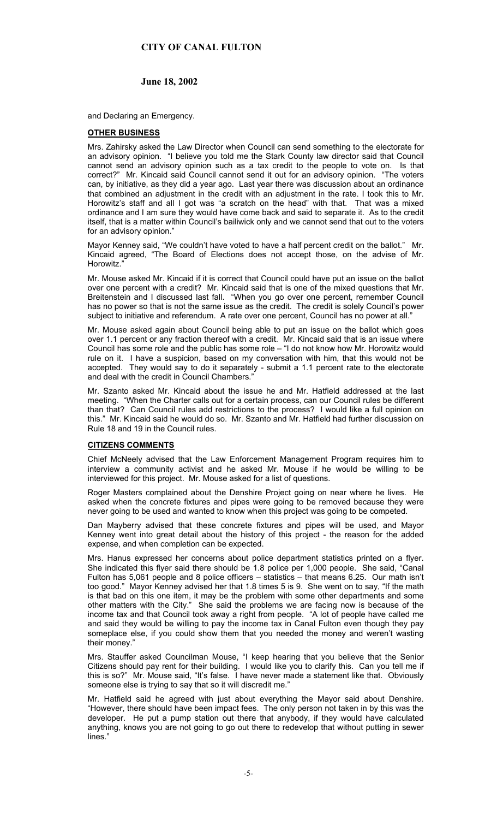# **June 18, 2002**

and Declaring an Emergency.

### **OTHER BUSINESS**

Mrs. Zahirsky asked the Law Director when Council can send something to the electorate for an advisory opinion. "I believe you told me the Stark County law director said that Council cannot send an advisory opinion such as a tax credit to the people to vote on. Is that correct?" Mr. Kincaid said Council cannot send it out for an advisory opinion. "The voters can, by initiative, as they did a year ago. Last year there was discussion about an ordinance that combined an adjustment in the credit with an adjustment in the rate. I took this to Mr. Horowitz's staff and all I got was "a scratch on the head" with that. That was a mixed ordinance and I am sure they would have come back and said to separate it. As to the credit itself, that is a matter within Council's bailiwick only and we cannot send that out to the voters for an advisory opinion."

Mayor Kenney said, "We couldn't have voted to have a half percent credit on the ballot." Mr. Kincaid agreed, "The Board of Elections does not accept those, on the advise of Mr. Horowitz."

Mr. Mouse asked Mr. Kincaid if it is correct that Council could have put an issue on the ballot over one percent with a credit? Mr. Kincaid said that is one of the mixed questions that Mr. Breitenstein and I discussed last fall. "When you go over one percent, remember Council has no power so that is not the same issue as the credit. The credit is solely Council's power subject to initiative and referendum. A rate over one percent, Council has no power at all.'

Mr. Mouse asked again about Council being able to put an issue on the ballot which goes over 1.1 percent or any fraction thereof with a credit. Mr. Kincaid said that is an issue where Council has some role and the public has some role – "I do not know how Mr. Horowitz would rule on it. I have a suspicion, based on my conversation with him, that this would not be accepted. They would say to do it separately - submit a 1.1 percent rate to the electorate and deal with the credit in Council Chambers."

Mr. Szanto asked Mr. Kincaid about the issue he and Mr. Hatfield addressed at the last meeting. "When the Charter calls out for a certain process, can our Council rules be different than that? Can Council rules add restrictions to the process? I would like a full opinion on this." Mr. Kincaid said he would do so. Mr. Szanto and Mr. Hatfield had further discussion on Rule 18 and 19 in the Council rules.

### **CITIZENS COMMENTS**

Chief McNeely advised that the Law Enforcement Management Program requires him to interview a community activist and he asked Mr. Mouse if he would be willing to be interviewed for this project. Mr. Mouse asked for a list of questions.

Roger Masters complained about the Denshire Project going on near where he lives. He asked when the concrete fixtures and pipes were going to be removed because they were never going to be used and wanted to know when this project was going to be competed.

Dan Mayberry advised that these concrete fixtures and pipes will be used, and Mayor Kenney went into great detail about the history of this project - the reason for the added expense, and when completion can be expected.

Mrs. Hanus expressed her concerns about police department statistics printed on a flyer. She indicated this flyer said there should be 1.8 police per 1,000 people. She said, "Canal Fulton has 5,061 people and 8 police officers – statistics – that means 6.25. Our math isn't too good." Mayor Kenney advised her that 1.8 times 5 is 9. She went on to say, "If the math is that bad on this one item, it may be the problem with some other departments and some other matters with the City." She said the problems we are facing now is because of the income tax and that Council took away a right from people. "A lot of people have called me and said they would be willing to pay the income tax in Canal Fulton even though they pay someplace else, if you could show them that you needed the money and weren't wasting their money."

Mrs. Stauffer asked Councilman Mouse, "I keep hearing that you believe that the Senior Citizens should pay rent for their building. I would like you to clarify this. Can you tell me if this is so?" Mr. Mouse said, "It's false. I have never made a statement like that. Obviously someone else is trying to say that so it will discredit me."

Mr. Hatfield said he agreed with just about everything the Mayor said about Denshire. "However, there should have been impact fees. The only person not taken in by this was the developer. He put a pump station out there that anybody, if they would have calculated anything, knows you are not going to go out there to redevelop that without putting in sewer lines."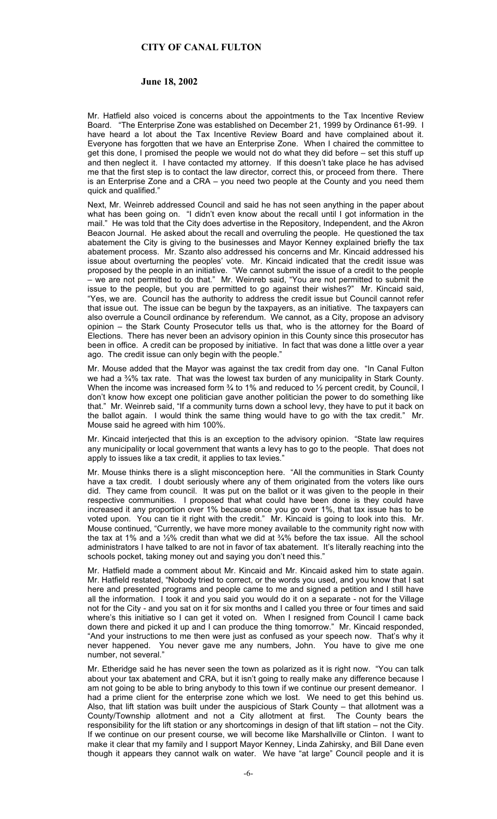### **June 18, 2002**

Mr. Hatfield also voiced is concerns about the appointments to the Tax Incentive Review Board. "The Enterprise Zone was established on December 21, 1999 by Ordinance 61-99. I have heard a lot about the Tax Incentive Review Board and have complained about it. Everyone has forgotten that we have an Enterprise Zone. When I chaired the committee to get this done, I promised the people we would not do what they did before – set this stuff up and then neglect it. I have contacted my attorney. If this doesn't take place he has advised me that the first step is to contact the law director, correct this, or proceed from there. There is an Enterprise Zone and a CRA – you need two people at the County and you need them quick and qualified."

Next, Mr. Weinreb addressed Council and said he has not seen anything in the paper about what has been going on. "I didn't even know about the recall until I got information in the mail." He was told that the City does advertise in the Repository, Independent, and the Akron Beacon Journal. He asked about the recall and overruling the people. He questioned the tax abatement the City is giving to the businesses and Mayor Kenney explained briefly the tax abatement process. Mr. Szanto also addressed his concerns and Mr. Kincaid addressed his issue about overturning the peoples' vote. Mr. Kincaid indicated that the credit issue was proposed by the people in an initiative. "We cannot submit the issue of a credit to the people – we are not permitted to do that." Mr. Weinreb said, "You are not permitted to submit the issue to the people, but you are permitted to go against their wishes?" Mr. Kincaid said, "Yes, we are. Council has the authority to address the credit issue but Council cannot refer that issue out. The issue can be begun by the taxpayers, as an initiative. The taxpayers can also overrule a Council ordinance by referendum. We cannot, as a City, propose an advisory opinion – the Stark County Prosecutor tells us that, who is the attorney for the Board of Elections. There has never been an advisory opinion in this County since this prosecutor has been in office. A credit can be proposed by initiative. In fact that was done a little over a year ago. The credit issue can only begin with the people.'

Mr. Mouse added that the Mayor was against the tax credit from day one. "In Canal Fulton we had a 34% tax rate. That was the lowest tax burden of any municipality in Stark County. When the income was increased form  $\frac{3}{4}$  to 1% and reduced to  $\frac{1}{2}$  percent credit, by Council, I don't know how except one politician gave another politician the power to do something like that." Mr. Weinreb said, "If a community turns down a school levy, they have to put it back on the ballot again. I would think the same thing would have to go with the tax credit." Mr. Mouse said he agreed with him 100%.

Mr. Kincaid interjected that this is an exception to the advisory opinion. "State law requires any municipality or local government that wants a levy has to go to the people. That does not apply to issues like a tax credit, it applies to tax levies.'

Mr. Mouse thinks there is a slight misconception here. "All the communities in Stark County have a tax credit. I doubt seriously where any of them originated from the voters like ours did. They came from council. It was put on the ballot or it was given to the people in their respective communities. I proposed that what could have been done is they could have increased it any proportion over 1% because once you go over 1%, that tax issue has to be voted upon. You can tie it right with the credit." Mr. Kincaid is going to look into this. Mr. Mouse continued, "Currently, we have more money available to the community right now with the tax at 1% and a ½% credit than what we did at ¾% before the tax issue. All the school administrators I have talked to are not in favor of tax abatement. It's literally reaching into the schools pocket, taking money out and saying you don't need this."

Mr. Hatfield made a comment about Mr. Kincaid and Mr. Kincaid asked him to state again. Mr. Hatfield restated, "Nobody tried to correct, or the words you used, and you know that I sat here and presented programs and people came to me and signed a petition and I still have all the information. I took it and you said you would do it on a separate - not for the Village not for the City - and you sat on it for six months and I called you three or four times and said where's this initiative so I can get it voted on. When I resigned from Council I came back down there and picked it up and I can produce the thing tomorrow." Mr. Kincaid responded, "And your instructions to me then were just as confused as your speech now. That's why it never happened. You never gave me any numbers, John. You have to give me one number, not several."

Mr. Etheridge said he has never seen the town as polarized as it is right now. "You can talk about your tax abatement and CRA, but it isn't going to really make any difference because I am not going to be able to bring anybody to this town if we continue our present demeanor. I had a prime client for the enterprise zone which we lost. We need to get this behind us. Also, that lift station was built under the auspicious of Stark County – that allotment was a County/Township allotment and not a City allotment at first. The County bears the County/Township allotment and not a City allotment at first. responsibility for the lift station or any shortcomings in design of that lift station – not the City. If we continue on our present course, we will become like Marshallville or Clinton. I want to make it clear that my family and I support Mayor Kenney, Linda Zahirsky, and Bill Dane even though it appears they cannot walk on water. We have "at large" Council people and it is